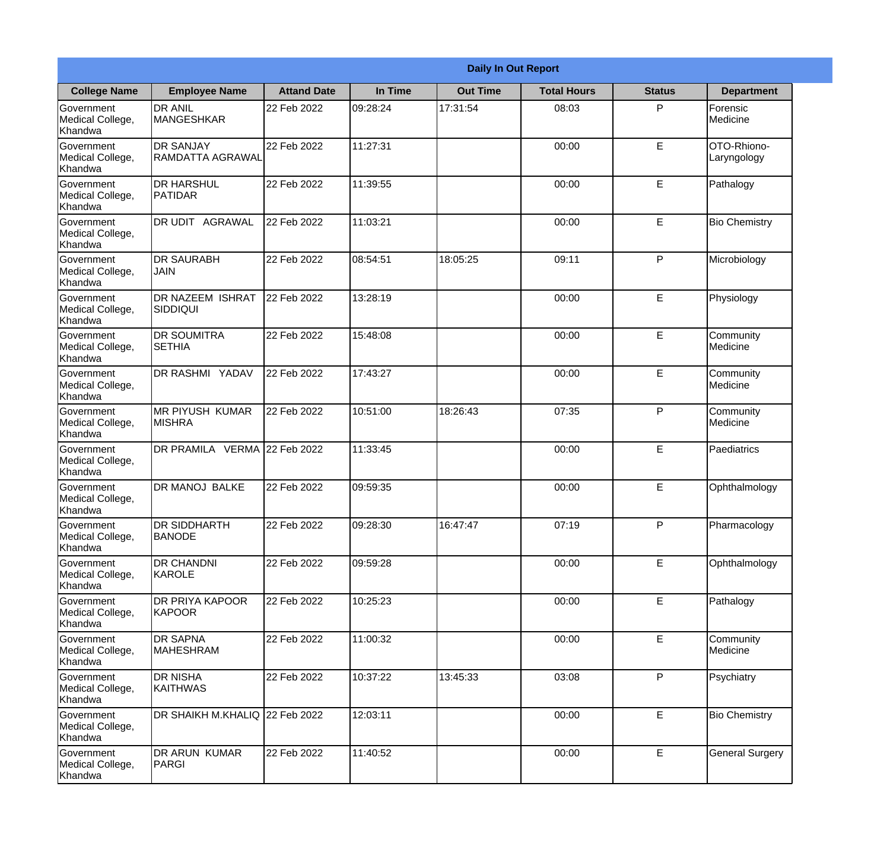|                                                  |                                            |                    |          | <b>Daily In Out Report</b> |                    |               |                            |
|--------------------------------------------------|--------------------------------------------|--------------------|----------|----------------------------|--------------------|---------------|----------------------------|
| <b>College Name</b>                              | <b>Employee Name</b>                       | <b>Attand Date</b> | In Time  | <b>Out Time</b>            | <b>Total Hours</b> | <b>Status</b> | <b>Department</b>          |
| Government<br>Medical College,<br>Khandwa        | <b>DR ANIL</b><br><b>MANGESHKAR</b>        | 22 Feb 2022        | 09:28:24 | 17:31:54                   | 08:03              | P             | Forensic<br>Medicine       |
| Government<br>Medical College,<br>Khandwa        | <b>DR SANJAY</b><br>RAMDATTA AGRAWAL       | 22 Feb 2022        | 11:27:31 |                            | 00:00              | $\mathsf E$   | OTO-Rhiono-<br>Laryngology |
| <b>Government</b><br>Medical College,<br>Khandwa | <b>I</b> DR HARSHUL<br><b>PATIDAR</b>      | 22 Feb 2022        | 11:39:55 |                            | 00:00              | E             | Pathalogy                  |
| <b>Government</b><br>Medical College,<br>Khandwa | DR UDIT AGRAWAL                            | 22 Feb 2022        | 11:03:21 |                            | 00:00              | E             | <b>Bio Chemistry</b>       |
| Government<br>Medical College,<br>Khandwa        | <b>DR SAURABH</b><br><b>JAIN</b>           | 22 Feb 2022        | 08:54:51 | 18:05:25                   | 09:11              | P             | Microbiology               |
| Government<br>Medical College,<br>Khandwa        | <b>DR NAZEEM ISHRAT</b><br><b>SIDDIQUI</b> | 22 Feb 2022        | 13:28:19 |                            | 00:00              | E             | Physiology                 |
| <b>Government</b><br>Medical College,<br>Khandwa | IDR SOUMITRA<br><b>SETHIA</b>              | 22 Feb 2022        | 15:48:08 |                            | 00:00              | E             | Community<br>Medicine      |
| <b>Government</b><br>Medical College,<br>Khandwa | DR RASHMI YADAV                            | 22 Feb 2022        | 17:43:27 |                            | 00:00              | E             | Community<br>Medicine      |
| Government<br>Medical College,<br>Khandwa        | <b>MR PIYUSH KUMAR</b><br><b>MISHRA</b>    | 22 Feb 2022        | 10:51:00 | 18:26:43                   | 07:35              | P             | Community<br>Medicine      |
| Government<br>Medical College,<br>Khandwa        | DR PRAMILA VERMA 22 Feb 2022               |                    | 11:33:45 |                            | 00:00              | E             | Paediatrics                |
| Government<br>Medical College,<br>Khandwa        | <b>DR MANOJ BALKE</b>                      | 22 Feb 2022        | 09:59:35 |                            | 00:00              | E             | Ophthalmology              |
| Government<br>Medical College,<br>Khandwa        | <b>DR SIDDHARTH</b><br><b>BANODE</b>       | 22 Feb 2022        | 09:28:30 | 16:47:47                   | 07:19              | P             | Pharmacology               |
| Government<br>Medical College,<br>Khandwa        | <b>DR CHANDNI</b><br>KAROLE                | 22 Feb 2022        | 09:59:28 |                            | 00:00              | E             | Ophthalmology              |
| Government<br>Medical College,<br>Khandwa        | <b>DR PRIYA KAPOOR</b><br>KAPOOR           | 22 Feb 2022        | 10:25:23 |                            | 00:00              | $\mathsf E$   | Pathalogy                  |
| Government<br>Medical College,<br>Khandwa        | <b>DR SAPNA</b><br><b>MAHESHRAM</b>        | 22 Feb 2022        | 11:00:32 |                            | 00:00              | E             | Community<br>Medicine      |
| Government<br>Medical College,<br>Khandwa        | DR NISHA<br><b>KAITHWAS</b>                | 22 Feb 2022        | 10:37:22 | 13:45:33                   | 03:08              | P             | Psychiatry                 |
| Government<br>Medical College,<br>Khandwa        | DR SHAIKH M.KHALIQ 22 Feb 2022             |                    | 12:03:11 |                            | 00:00              | $\mathsf E$   | <b>Bio Chemistry</b>       |
| Government<br>Medical College,<br>Khandwa        | DR ARUN KUMAR<br><b>PARGI</b>              | 22 Feb 2022        | 11:40:52 |                            | 00:00              | $\mathsf E$   | <b>General Surgery</b>     |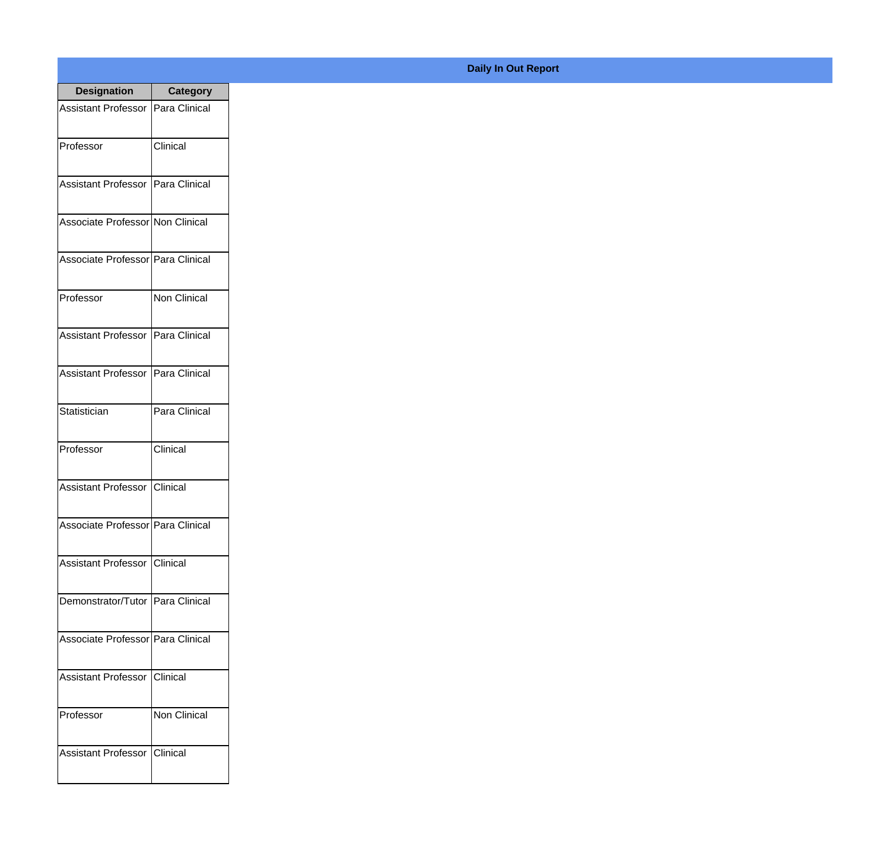| <b>Designation</b>                  | <b>Category</b>  |
|-------------------------------------|------------------|
| Assistant Professor   Para Clinical |                  |
| Professor                           | Clinical         |
| Assistant Professor   Para Clinical |                  |
| Associate Professor Non Clinical    |                  |
| Associate Professor Para Clinical   |                  |
| Professor                           | Non Clinical     |
| Assistant Professor   Para Clinical |                  |
| Assistant Professor   Para Clinical |                  |
| Statistician                        | Para Clinical    |
| Professor                           | Clinical         |
| <b>Assistant Professor</b>          | Clinical         |
| Associate Professor   Para Clinical |                  |
| Assistant Professor Clinical        |                  |
| Demonstrator/Tutor   Para Clinical  |                  |
| Associate Professor Para Clinical   |                  |
| <b>Assistant Professor</b>          | Clinical         |
| Professor                           | Non Clinical     |
| Assistant Professor                 | <b>C</b> linical |

## **Daily In Out Report**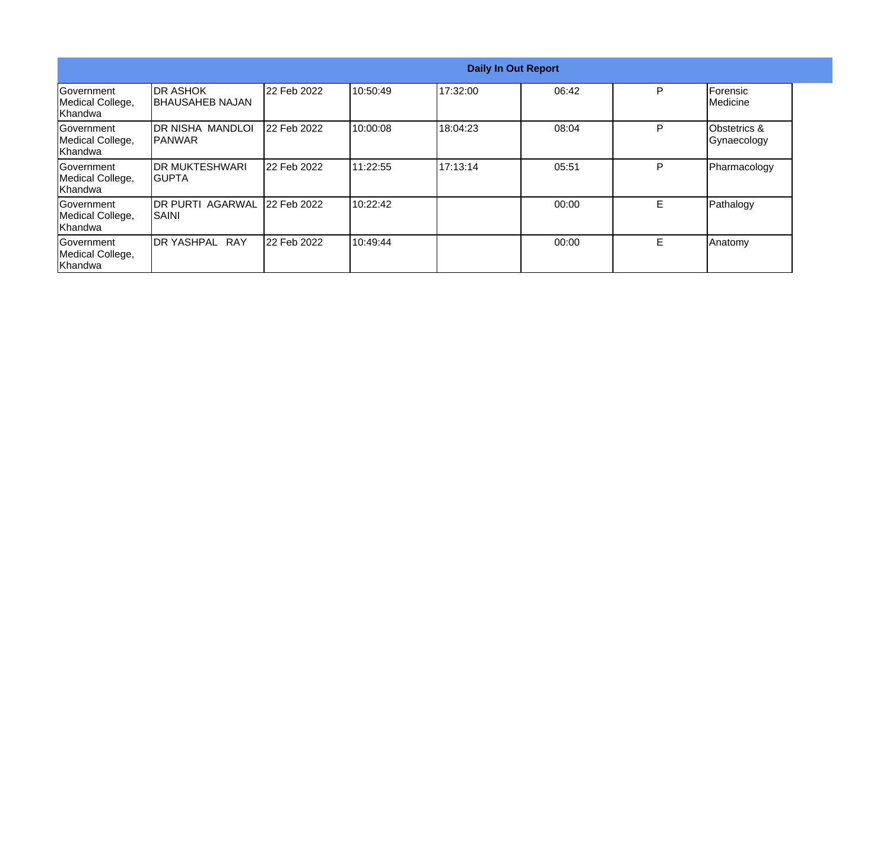|                                                  |                                      |             |          |          | <b>Daily In Out Report</b> |   |                              |
|--------------------------------------------------|--------------------------------------|-------------|----------|----------|----------------------------|---|------------------------------|
| Government<br>Medical College,<br>Khandwa        | <b>IDR ASHOK</b><br>IBHAUSAHEB NAJAN | 22 Feb 2022 | 10:50:49 | 17:32:00 | 06:42                      | P | <b>IForensic</b><br>Medicine |
| Government<br>Medical College,<br>Khandwa        | <b>DR NISHA MANDLOI</b><br>IPANWAR   | 22 Feb 2022 | 10:00:08 | 18:04:23 | 08:04                      | D | Obstetrics &<br>Gynaecology  |
| <b>Sovernment</b><br>Medical College,<br>Khandwa | <b>IDR MUKTESHWARI</b><br>IGUPTA     | 22 Feb 2022 | 11:22:55 | 17:13:14 | 05:51                      | P | Pharmacology                 |
| lGovernment<br>Medical College,<br>Khandwa       | <b>IDR PURTI AGARWAL</b><br>ISAINI   | 22 Feb 2022 | 10:22:42 |          | 00:00                      | E | Pathalogy                    |
| Government<br>Medical College,<br>Khandwa        | <b>DR YASHPAL RAY</b>                | 22 Feb 2022 | 10:49:44 |          | 00:00                      | E | Anatomy                      |